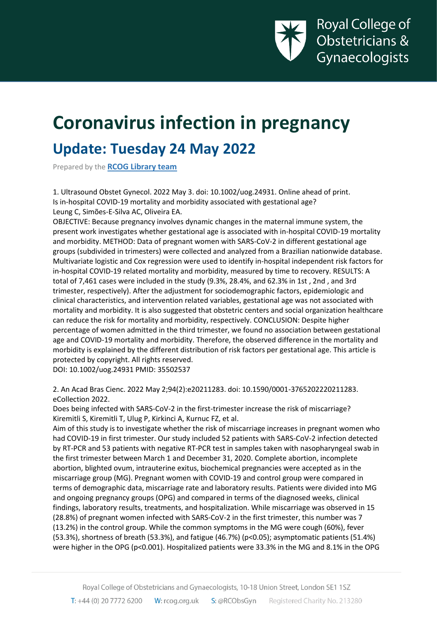

# **Coronavirus infection in pregnancy**

# **Update: Tuesday 24 May 2022**

Prepared by the **[RCOG Library team](https://www.rcog.org.uk/en/guidelines-research-services/library-services/effective-literature-searching/)**

1. Ultrasound Obstet Gynecol. 2022 May 3. doi: 10.1002/uog.24931. Online ahead of print. Is in-hospital COVID-19 mortality and morbidity associated with gestational age? Leung C, Simões-E-Silva AC, Oliveira EA.

OBJECTIVE: Because pregnancy involves dynamic changes in the maternal immune system, the present work investigates whether gestational age is associated with in-hospital COVID-19 mortality and morbidity. METHOD: Data of pregnant women with SARS-CoV-2 in different gestational age groups (subdivided in trimesters) were collected and analyzed from a Brazilian nationwide database. Multivariate logistic and Cox regression were used to identify in-hospital independent risk factors for in-hospital COVID-19 related mortality and morbidity, measured by time to recovery. RESULTS: A total of 7,461 cases were included in the study (9.3%, 28.4%, and 62.3% in 1st , 2nd , and 3rd trimester, respectively). After the adjustment for sociodemographic factors, epidemiologic and clinical characteristics, and intervention related variables, gestational age was not associated with mortality and morbidity. It is also suggested that obstetric centers and social organization healthcare can reduce the risk for mortality and morbidity, respectively. CONCLUSION: Despite higher percentage of women admitted in the third trimester, we found no association between gestational age and COVID-19 mortality and morbidity. Therefore, the observed difference in the mortality and morbidity is explained by the different distribution of risk factors per gestational age. This article is protected by copyright. All rights reserved. DOI: 10.1002/uog.24931 PMID: 35502537

2. An Acad Bras Cienc. 2022 May 2;94(2):e20211283. doi: 10.1590/0001-3765202220211283. eCollection 2022.

Does being infected with SARS-CoV-2 in the first-trimester increase the risk of miscarriage? Kiremitli S, Kiremitli T, Ulug P, Kirkinci A, Kurnuc FZ, et al.

Aim of this study is to investigate whether the risk of miscarriage increases in pregnant women who had COVID-19 in first trimester. Our study included 52 patients with SARS-CoV-2 infection detected by RT-PCR and 53 patients with negative RT-PCR test in samples taken with nasopharyngeal swab in the first trimester between March 1 and December 31, 2020. Complete abortion, incomplete abortion, blighted ovum, intrauterine exitus, biochemical pregnancies were accepted as in the miscarriage group (MG). Pregnant women with COVID-19 and control group were compared in terms of demographic data, miscarriage rate and laboratory results. Patients were divided into MG and ongoing pregnancy groups (OPG) and compared in terms of the diagnosed weeks, clinical findings, laboratory results, treatments, and hospitalization. While miscarriage was observed in 15 (28.8%) of pregnant women infected with SARS-CoV-2 in the first trimester, this number was 7 (13.2%) in the control group. While the common symptoms in the MG were cough (60%), fever (53.3%), shortness of breath (53.3%), and fatigue (46.7%) (p<0.05); asymptomatic patients (51.4%) were higher in the OPG (p<0.001). Hospitalized patients were 33.3% in the MG and 8.1% in the OPG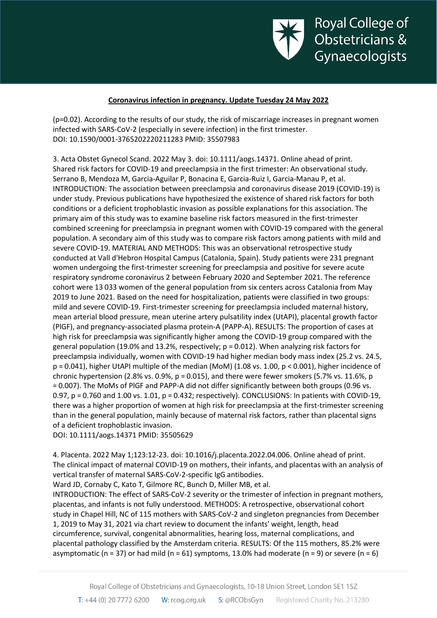

(p=0.02). According to the results of our study, the risk of miscarriage increases in pregnant women infected with SARS-CoV-2 (especially in severe infection) in the first trimester. DOI: 10.1590/0001-3765202220211283 PMID: 35507983

3. Acta Obstet Gynecol Scand. 2022 May 3. doi: 10.1111/aogs.14371. Online ahead of print. Shared risk factors for COVID-19 and preeclampsia in the first trimester: An observational study. Serrano B, Mendoza M, Garcia-Aguilar P, Bonacina E, Garcia-Ruiz I, Garcia-Manau P, et al. INTRODUCTION: The association between preeclampsia and coronavirus disease 2019 (COVID-19) is under study. Previous publications have hypothesized the existence of shared risk factors for both conditions or a deficient trophoblastic invasion as possible explanations for this association. The primary aim of this study was to examine baseline risk factors measured in the first-trimester combined screening for preeclampsia in pregnant women with COVID-19 compared with the general population. A secondary aim of this study was to compare risk factors among patients with mild and severe COVID-19. MATERIAL AND METHODS: This was an observational retrospective study conducted at Vall d'Hebron Hospital Campus (Catalonia, Spain). Study patients were 231 pregnant women undergoing the first-trimester screening for preeclampsia and positive for severe acute respiratory syndrome coronavirus 2 between February 2020 and September 2021. The reference cohort were 13 033 women of the general population from six centers across Catalonia from May 2019 to June 2021. Based on the need for hospitalization, patients were classified in two groups: mild and severe COVID-19. First-trimester screening for preeclampsia included maternal history, mean arterial blood pressure, mean uterine artery pulsatility index (UtAPI), placental growth factor (PlGF), and pregnancy-associated plasma protein-A (PAPP-A). RESULTS: The proportion of cases at high risk for preeclampsia was significantly higher among the COVID-19 group compared with the general population (19.0% and 13.2%, respectively; p = 0.012). When analyzing risk factors for preeclampsia individually, women with COVID-19 had higher median body mass index (25.2 vs. 24.5, p = 0.041), higher UtAPI multiple of the median (MoM) (1.08 vs. 1.00, p < 0.001), higher incidence of chronic hypertension (2.8% vs. 0.9%,  $p = 0.015$ ), and there were fewer smokers (5.7% vs. 11.6%, p = 0.007). The MoMs of PlGF and PAPP-A did not differ significantly between both groups (0.96 vs. 0.97, p = 0.760 and 1.00 vs. 1.01, p = 0.432; respectively). CONCLUSIONS: In patients with COVID-19, there was a higher proportion of women at high risk for preeclampsia at the first-trimester screening than in the general population, mainly because of maternal risk factors, rather than placental signs of a deficient trophoblastic invasion.

DOI: 10.1111/aogs.14371 PMID: 35505629

4. Placenta. 2022 May 1;123:12-23. doi: 10.1016/j.placenta.2022.04.006. Online ahead of print. The clinical impact of maternal COVID-19 on mothers, their infants, and placentas with an analysis of vertical transfer of maternal SARS-CoV-2-specific IgG antibodies.

Ward JD, Cornaby C, Kato T, Gilmore RC, Bunch D, Miller MB, et al.

INTRODUCTION: The effect of SARS-CoV-2 severity or the trimester of infection in pregnant mothers, placentas, and infants is not fully understood. METHODS: A retrospective, observational cohort study in Chapel Hill, NC of 115 mothers with SARS-CoV-2 and singleton pregnancies from December 1, 2019 to May 31, 2021 via chart review to document the infants' weight, length, head circumference, survival, congenital abnormalities, hearing loss, maternal complications, and placental pathology classified by the Amsterdam criteria. RESULTS: Of the 115 mothers, 85.2% were asymptomatic (n = 37) or had mild (n = 61) symptoms, 13.0% had moderate (n = 9) or severe (n = 6)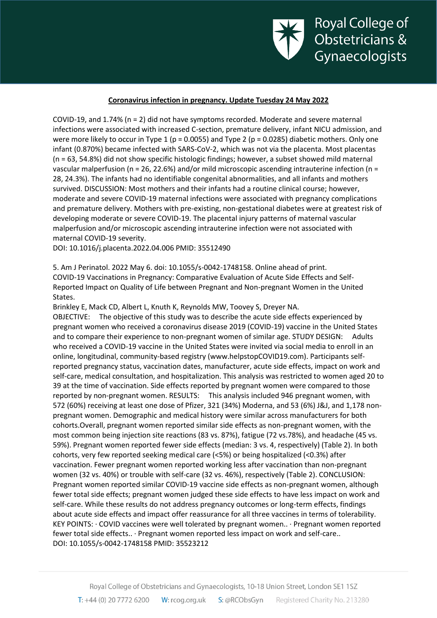

COVID-19, and 1.74% (n = 2) did not have symptoms recorded. Moderate and severe maternal infections were associated with increased C-section, premature delivery, infant NICU admission, and were more likely to occur in Type 1 (p = 0.0055) and Type 2 (p = 0.0285) diabetic mothers. Only one infant (0.870%) became infected with SARS-CoV-2, which was not via the placenta. Most placentas (n = 63, 54.8%) did not show specific histologic findings; however, a subset showed mild maternal vascular malperfusion (n = 26, 22.6%) and/or mild microscopic ascending intrauterine infection (n = 28, 24.3%). The infants had no identifiable congenital abnormalities, and all infants and mothers survived. DISCUSSION: Most mothers and their infants had a routine clinical course; however, moderate and severe COVID-19 maternal infections were associated with pregnancy complications and premature delivery. Mothers with pre-existing, non-gestational diabetes were at greatest risk of developing moderate or severe COVID-19. The placental injury patterns of maternal vascular malperfusion and/or microscopic ascending intrauterine infection were not associated with maternal COVID-19 severity.

DOI: 10.1016/j.placenta.2022.04.006 PMID: 35512490

5. Am J Perinatol. 2022 May 6. doi: 10.1055/s-0042-1748158. Online ahead of print. COVID-19 Vaccinations in Pregnancy: Comparative Evaluation of Acute Side Effects and Self-Reported Impact on Quality of Life between Pregnant and Non-pregnant Women in the United States.

Brinkley E, Mack CD, Albert L, Knuth K, Reynolds MW, Toovey S, Dreyer NA. OBJECTIVE: The objective of this study was to describe the acute side effects experienced by pregnant women who received a coronavirus disease 2019 (COVID-19) vaccine in the United States and to compare their experience to non-pregnant women of similar age. STUDY DESIGN: Adults who received a COVID-19 vaccine in the United States were invited via social media to enroll in an online, longitudinal, community-based registry (www.helpstopCOVID19.com). Participants selfreported pregnancy status, vaccination dates, manufacturer, acute side effects, impact on work and self-care, medical consultation, and hospitalization. This analysis was restricted to women aged 20 to 39 at the time of vaccination. Side effects reported by pregnant women were compared to those reported by non-pregnant women. RESULTS: This analysis included 946 pregnant women, with 572 (60%) receiving at least one dose of Pfizer, 321 (34%) Moderna, and 53 (6%) J&J, and 1,178 nonpregnant women. Demographic and medical history were similar across manufacturers for both cohorts.Overall, pregnant women reported similar side effects as non-pregnant women, with the most common being injection site reactions (83 vs. 87%), fatigue (72 vs.78%), and headache (45 vs. 59%). Pregnant women reported fewer side effects (median: 3 vs. 4, respectively) (Table 2). In both cohorts, very few reported seeking medical care (<5%) or being hospitalized (<0.3%) after vaccination. Fewer pregnant women reported working less after vaccination than non-pregnant women (32 vs. 40%) or trouble with self-care (32 vs. 46%), respectively (Table 2). CONCLUSION: Pregnant women reported similar COVID-19 vaccine side effects as non-pregnant women, although fewer total side effects; pregnant women judged these side effects to have less impact on work and self-care. While these results do not address pregnancy outcomes or long-term effects, findings about acute side effects and impact offer reassurance for all three vaccines in terms of tolerability. KEY POINTS: · COVID vaccines were well tolerated by pregnant women.. · Pregnant women reported fewer total side effects.. · Pregnant women reported less impact on work and self-care.. DOI: 10.1055/s-0042-1748158 PMID: 35523212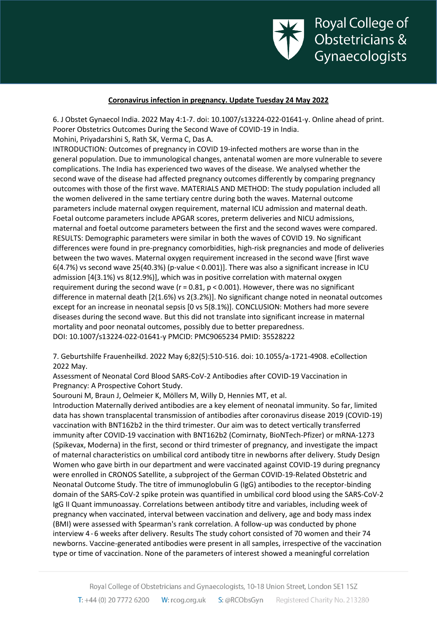

6. J Obstet Gynaecol India. 2022 May 4:1-7. doi: 10.1007/s13224-022-01641-y. Online ahead of print. Poorer Obstetrics Outcomes During the Second Wave of COVID-19 in India.

Mohini, Priyadarshini S, Rath SK, Verma C, Das A.

INTRODUCTION: Outcomes of pregnancy in COVID 19-infected mothers are worse than in the general population. Due to immunological changes, antenatal women are more vulnerable to severe complications. The India has experienced two waves of the disease. We analysed whether the second wave of the disease had affected pregnancy outcomes differently by comparing pregnancy outcomes with those of the first wave. MATERIALS AND METHOD: The study population included all the women delivered in the same tertiary centre during both the waves. Maternal outcome parameters include maternal oxygen requirement, maternal ICU admission and maternal death. Foetal outcome parameters include APGAR scores, preterm deliveries and NICU admissions, maternal and foetal outcome parameters between the first and the second waves were compared. RESULTS: Demographic parameters were similar in both the waves of COVID 19. No significant differences were found in pre-pregnancy comorbidities, high-risk pregnancies and mode of deliveries between the two waves. Maternal oxygen requirement increased in the second wave [first wave  $6(4.7%)$  vs second wave 25(40.3%) (p-value < 0.001)]. There was also a significant increase in ICU admission [4(3.1%) vs 8(12.9%)], which was in positive correlation with maternal oxygen requirement during the second wave ( $r = 0.81$ ,  $p < 0.001$ ). However, there was no significant difference in maternal death [2(1.6%) vs 2(3.2%)]. No significant change noted in neonatal outcomes except for an increase in neonatal sepsis [0 vs 5(8.1%)]. CONCLUSION: Mothers had more severe diseases during the second wave. But this did not translate into significant increase in maternal mortality and poor neonatal outcomes, possibly due to better preparedness. DOI: 10.1007/s13224-022-01641-y PMCID: PMC9065234 PMID: 35528222

7. Geburtshilfe Frauenheilkd. 2022 May 6;82(5):510-516. doi: 10.1055/a-1721-4908. eCollection 2022 May.

Assessment of Neonatal Cord Blood SARS-CoV-2 Antibodies after COVID-19 Vaccination in Pregnancy: A Prospective Cohort Study.

Sourouni M, Braun J, Oelmeier K, Möllers M, Willy D, Hennies MT, et al.

Introduction Maternally derived antibodies are a key element of neonatal immunity. So far, limited data has shown transplacental transmission of antibodies after coronavirus disease 2019 (COVID-19) vaccination with BNT162b2 in the third trimester. Our aim was to detect vertically transferred immunity after COVID-19 vaccination with BNT162b2 (Comirnaty, BioNTech-Pfizer) or mRNA-1273 (Spikevax, Moderna) in the first, second or third trimester of pregnancy, and investigate the impact of maternal characteristics on umbilical cord antibody titre in newborns after delivery. Study Design Women who gave birth in our department and were vaccinated against COVID-19 during pregnancy were enrolled in CRONOS Satellite, a subproject of the German COVID-19-Related Obstetric and Neonatal Outcome Study. The titre of immunoglobulin G (IgG) antibodies to the receptor-binding domain of the SARS-CoV-2 spike protein was quantified in umbilical cord blood using the SARS-CoV-2 IgG II Quant immunoassay. Correlations between antibody titre and variables, including week of pregnancy when vaccinated, interval between vaccination and delivery, age and body mass index (BMI) were assessed with Spearman's rank correlation. A follow-up was conducted by phone interview 4 - 6 weeks after delivery. Results The study cohort consisted of 70 women and their 74 newborns. Vaccine-generated antibodies were present in all samples, irrespective of the vaccination type or time of vaccination. None of the parameters of interest showed a meaningful correlation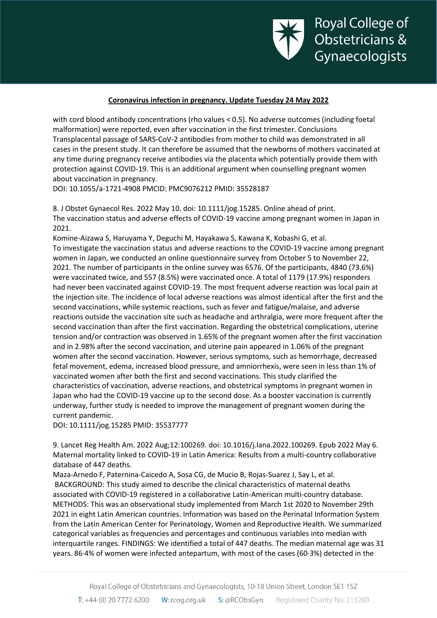

with cord blood antibody concentrations (rho values < 0.5). No adverse outcomes (including foetal malformation) were reported, even after vaccination in the first trimester. Conclusions Transplacental passage of SARS-CoV-2 antibodies from mother to child was demonstrated in all cases in the present study. It can therefore be assumed that the newborns of mothers vaccinated at any time during pregnancy receive antibodies via the placenta which potentially provide them with protection against COVID-19. This is an additional argument when counselling pregnant women about vaccination in pregnancy.

DOI: 10.1055/a-1721-4908 PMCID: PMC9076212 PMID: 35528187

8. J Obstet Gynaecol Res. 2022 May 10. doi: 10.1111/jog.15285. Online ahead of print. The vaccination status and adverse effects of COVID-19 vaccine among pregnant women in Japan in 2021.

Komine-Aizawa S, Haruyama Y, Deguchi M, Hayakawa S, Kawana K, Kobashi G, et al. To investigate the vaccination status and adverse reactions to the COVID-19 vaccine among pregnant women in Japan, we conducted an online questionnaire survey from October 5 to November 22, 2021. The number of participants in the online survey was 6576. Of the participants, 4840 (73.6%) were vaccinated twice, and 557 (8.5%) were vaccinated once. A total of 1179 (17.9%) responders had never been vaccinated against COVID-19. The most frequent adverse reaction was local pain at the injection site. The incidence of local adverse reactions was almost identical after the first and the second vaccinations, while systemic reactions, such as fever and fatigue/malaise, and adverse reactions outside the vaccination site such as headache and arthralgia, were more frequent after the second vaccination than after the first vaccination. Regarding the obstetrical complications, uterine tension and/or contraction was observed in 1.65% of the pregnant women after the first vaccination and in 2.98% after the second vaccination, and uterine pain appeared in 1.06% of the pregnant women after the second vaccination. However, serious symptoms, such as hemorrhage, decreased fetal movement, edema, increased blood pressure, and amniorrhexis, were seen in less than 1% of vaccinated women after both the first and second vaccinations. This study clarified the characteristics of vaccination, adverse reactions, and obstetrical symptoms in pregnant women in Japan who had the COVID-19 vaccine up to the second dose. As a booster vaccination is currently underway, further study is needed to improve the management of pregnant women during the current pandemic.

DOI: 10.1111/jog.15285 PMID: 35537777

9. Lancet Reg Health Am. 2022 Aug;12:100269. doi: 10.1016/j.lana.2022.100269. Epub 2022 May 6. Maternal mortality linked to COVID-19 in Latin America: Results from a multi-country collaborative database of 447 deaths.

Maza-Arnedo F, Paternina-Caicedo A, Sosa CG, de Mucio B, Rojas-Suarez J, Say L, et al. BACKGROUND: This study aimed to describe the clinical characteristics of maternal deaths associated with COVID-19 registered in a collaborative Latin-American multi-country database. METHODS: This was an observational study implemented from March 1st 2020 to November 29th 2021 in eight Latin American countries. Information was based on the Perinatal Information System from the Latin American Center for Perinatology, Women and Reproductive Health. We summarized categorical variables as frequencies and percentages and continuous variables into median with interquartile ranges. FINDINGS: We identified a total of 447 deaths. The median maternal age was 31 years. 86·4% of women were infected antepartum, with most of the cases (60·3%) detected in the

Royal College of Obstetricians and Gynaecologists, 10-18 Union Street, London SE1 1SZ T:  $+44$  (0) 20 7772 6200 W: rcog.org.uk S: @RCObsGyn Registered Charity No. 213280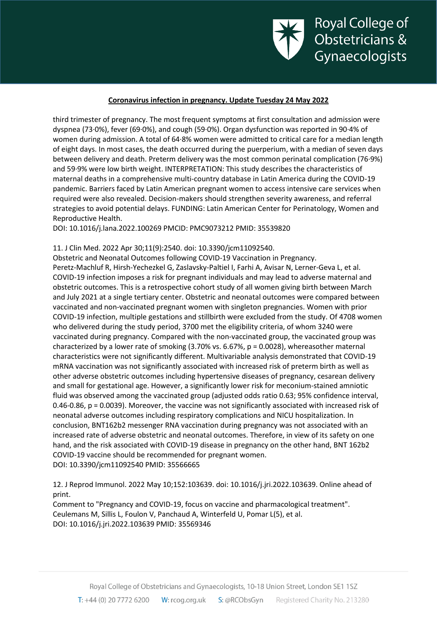

third trimester of pregnancy. The most frequent symptoms at first consultation and admission were dyspnea (73·0%), fever (69·0%), and cough (59·0%). Organ dysfunction was reported in 90·4% of women during admission. A total of 64·8% women were admitted to critical care for a median length of eight days. In most cases, the death occurred during the puerperium, with a median of seven days between delivery and death. Preterm delivery was the most common perinatal complication (76·9%) and 59·9% were low birth weight. INTERPRETATION: This study describes the characteristics of maternal deaths in a comprehensive multi-country database in Latin America during the COVID-19 pandemic. Barriers faced by Latin American pregnant women to access intensive care services when required were also revealed. Decision-makers should strengthen severity awareness, and referral strategies to avoid potential delays. FUNDING: Latin American Center for Perinatology, Women and Reproductive Health.

DOI: 10.1016/j.lana.2022.100269 PMCID: PMC9073212 PMID: 35539820

11. J Clin Med. 2022 Apr 30;11(9):2540. doi: 10.3390/jcm11092540.

Obstetric and Neonatal Outcomes following COVID-19 Vaccination in Pregnancy.

Peretz-Machluf R, Hirsh-Yechezkel G, Zaslavsky-Paltiel I, Farhi A, Avisar N, Lerner-Geva L, et al. COVID-19 infection imposes a risk for pregnant individuals and may lead to adverse maternal and obstetric outcomes. This is a retrospective cohort study of all women giving birth between March and July 2021 at a single tertiary center. Obstetric and neonatal outcomes were compared between vaccinated and non-vaccinated pregnant women with singleton pregnancies. Women with prior COVID-19 infection, multiple gestations and stillbirth were excluded from the study. Of 4708 women who delivered during the study period, 3700 met the eligibility criteria, of whom 3240 were vaccinated during pregnancy. Compared with the non-vaccinated group, the vaccinated group was characterized by a lower rate of smoking (3.70% vs. 6.67%, p = 0.0028), whereasother maternal characteristics were not significantly different. Multivariable analysis demonstrated that COVID-19 mRNA vaccination was not significantly associated with increased risk of preterm birth as well as other adverse obstetric outcomes including hypertensive diseases of pregnancy, cesarean delivery and small for gestational age. However, a significantly lower risk for meconium-stained amniotic fluid was observed among the vaccinated group (adjusted odds ratio 0.63; 95% confidence interval, 0.46-0.86, p = 0.0039). Moreover, the vaccine was not significantly associated with increased risk of neonatal adverse outcomes including respiratory complications and NICU hospitalization. In conclusion, BNT162b2 messenger RNA vaccination during pregnancy was not associated with an increased rate of adverse obstetric and neonatal outcomes. Therefore, in view of its safety on one hand, and the risk associated with COVID-19 disease in pregnancy on the other hand, BNT 162b2 COVID-19 vaccine should be recommended for pregnant women. DOI: 10.3390/jcm11092540 PMID: 35566665

12. J Reprod Immunol. 2022 May 10;152:103639. doi: 10.1016/j.jri.2022.103639. Online ahead of print.

Comment to "Pregnancy and COVID-19, focus on vaccine and pharmacological treatment". Ceulemans M, Sillis L, Foulon V, Panchaud A, Winterfeld U, Pomar L(5), et al. DOI: 10.1016/j.jri.2022.103639 PMID: 35569346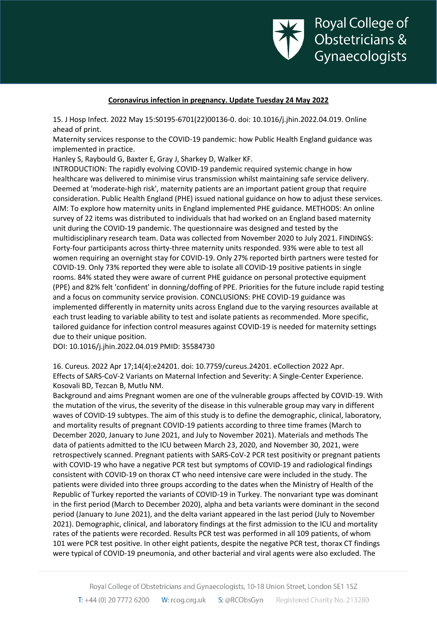

15. J Hosp Infect. 2022 May 15:S0195-6701(22)00136-0. doi: 10.1016/j.jhin.2022.04.019. Online ahead of print.

Maternity services response to the COVID-19 pandemic: how Public Health England guidance was implemented in practice.

Hanley S, Raybould G, Baxter E, Gray J, Sharkey D, Walker KF.

INTRODUCTION: The rapidly evolving COVID-19 pandemic required systemic change in how healthcare was delivered to minimise virus transmission whilst maintaining safe service delivery. Deemed at 'moderate-high risk', maternity patients are an important patient group that require consideration. Public Health England (PHE) issued national guidance on how to adjust these services. AIM: To explore how maternity units in England implemented PHE guidance. METHODS: An online survey of 22 items was distributed to individuals that had worked on an England based maternity unit during the COVID-19 pandemic. The questionnaire was designed and tested by the multidisciplinary research team. Data was collected from November 2020 to July 2021. FINDINGS: Forty-four participants across thirty-three maternity units responded. 93% were able to test all women requiring an overnight stay for COVID-19. Only 27% reported birth partners were tested for COVID-19. Only 73% reported they were able to isolate all COVID-19 positive patients in single rooms. 84% stated they were aware of current PHE guidance on personal protective equipment (PPE) and 82% felt 'confident' in donning/doffing of PPE. Priorities for the future include rapid testing and a focus on community service provision. CONCLUSIONS: PHE COVID-19 guidance was implemented differently in maternity units across England due to the varying resources available at each trust leading to variable ability to test and isolate patients as recommended. More specific, tailored guidance for infection control measures against COVID-19 is needed for maternity settings due to their unique position.

DOI: 10.1016/j.jhin.2022.04.019 PMID: 35584730

16. Cureus. 2022 Apr 17;14(4):e24201. doi: 10.7759/cureus.24201. eCollection 2022 Apr. Effects of SARS-CoV-2 Variants on Maternal Infection and Severity: A Single-Center Experience. Kosovali BD, Tezcan B, Mutlu NM.

Background and aims Pregnant women are one of the vulnerable groups affected by COVID-19. With the mutation of the virus, the severity of the disease in this vulnerable group may vary in different waves of COVID-19 subtypes. The aim of this study is to define the demographic, clinical, laboratory, and mortality results of pregnant COVID-19 patients according to three time frames (March to December 2020, January to June 2021, and July to November 2021). Materials and methods The data of patients admitted to the ICU between March 23, 2020, and November 30, 2021, were retrospectively scanned. Pregnant patients with SARS-CoV-2 PCR test positivity or pregnant patients with COVID-19 who have a negative PCR test but symptoms of COVID-19 and radiological findings consistent with COVID-19 on thorax CT who need intensive care were included in the study. The patients were divided into three groups according to the dates when the Ministry of Health of the Republic of Turkey reported the variants of COVID-19 in Turkey. The nonvariant type was dominant in the first period (March to December 2020), alpha and beta variants were dominant in the second period (January to June 2021), and the delta variant appeared in the last period (July to November 2021). Demographic, clinical, and laboratory findings at the first admission to the ICU and mortality rates of the patients were recorded. Results PCR test was performed in all 109 patients, of whom 101 were PCR test positive. In other eight patients, despite the negative PCR test, thorax CT findings were typical of COVID-19 pneumonia, and other bacterial and viral agents were also excluded. The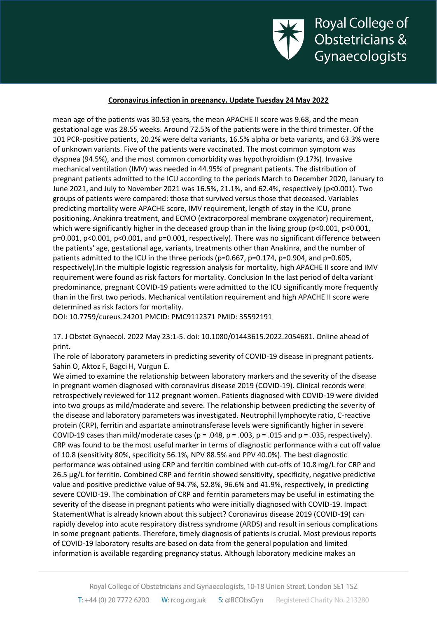

mean age of the patients was 30.53 years, the mean APACHE II score was 9.68, and the mean gestational age was 28.55 weeks. Around 72.5% of the patients were in the third trimester. Of the 101 PCR-positive patients, 20.2% were delta variants, 16.5% alpha or beta variants, and 63.3% were of unknown variants. Five of the patients were vaccinated. The most common symptom was dyspnea (94.5%), and the most common comorbidity was hypothyroidism (9.17%). Invasive mechanical ventilation (IMV) was needed in 44.95% of pregnant patients. The distribution of pregnant patients admitted to the ICU according to the periods March to December 2020, January to June 2021, and July to November 2021 was 16.5%, 21.1%, and 62.4%, respectively (p<0.001). Two groups of patients were compared: those that survived versus those that deceased. Variables predicting mortality were APACHE score, IMV requirement, length of stay in the ICU, prone positioning, Anakinra treatment, and ECMO (extracorporeal membrane oxygenator) requirement, which were significantly higher in the deceased group than in the living group (p<0.001, p<0.001, p=0.001, p<0.001, p<0.001, and p=0.001, respectively). There was no significant difference between the patients' age, gestational age, variants, treatments other than Anakinra, and the number of patients admitted to the ICU in the three periods (p=0.667, p=0.174, p=0.904, and p=0.605, respectively).In the multiple logistic regression analysis for mortality, high APACHE II score and IMV requirement were found as risk factors for mortality. Conclusion In the last period of delta variant predominance, pregnant COVID-19 patients were admitted to the ICU significantly more frequently than in the first two periods. Mechanical ventilation requirement and high APACHE II score were determined as risk factors for mortality.

DOI: 10.7759/cureus.24201 PMCID: PMC9112371 PMID: 35592191

17. J Obstet Gynaecol. 2022 May 23:1-5. doi: 10.1080/01443615.2022.2054681. Online ahead of print.

The role of laboratory parameters in predicting severity of COVID-19 disease in pregnant patients. Sahin O, Aktoz F, Bagci H, Vurgun E.

We aimed to examine the relationship between laboratory markers and the severity of the disease in pregnant women diagnosed with coronavirus disease 2019 (COVID-19). Clinical records were retrospectively reviewed for 112 pregnant women. Patients diagnosed with COVID-19 were divided into two groups as mild/moderate and severe. The relationship between predicting the severity of the disease and laboratory parameters was investigated. Neutrophil lymphocyte ratio, C-reactive protein (CRP), ferritin and aspartate aminotransferase levels were significantly higher in severe COVID-19 cases than mild/moderate cases (p = .048, p = .003, p = .015 and p = .035, respectively). CRP was found to be the most useful marker in terms of diagnostic performance with a cut off value of 10.8 (sensitivity 80%, specificity 56.1%, NPV 88.5% and PPV 40.0%). The best diagnostic performance was obtained using CRP and ferritin combined with cut-offs of 10.8 mg/L for CRP and 26.5 µg/L for ferritin. Combined CRP and ferritin showed sensitivity, specificity, negative predictive value and positive predictive value of 94.7%, 52.8%, 96.6% and 41.9%, respectively, in predicting severe COVID-19. The combination of CRP and ferritin parameters may be useful in estimating the severity of the disease in pregnant patients who were initially diagnosed with COVID-19. Impact StatementWhat is already known about this subject? Coronavirus disease 2019 (COVID-19) can rapidly develop into acute respiratory distress syndrome (ARDS) and result in serious complications in some pregnant patients. Therefore, timely diagnosis of patients is crucial. Most previous reports of COVID-19 laboratory results are based on data from the general population and limited information is available regarding pregnancy status. Although laboratory medicine makes an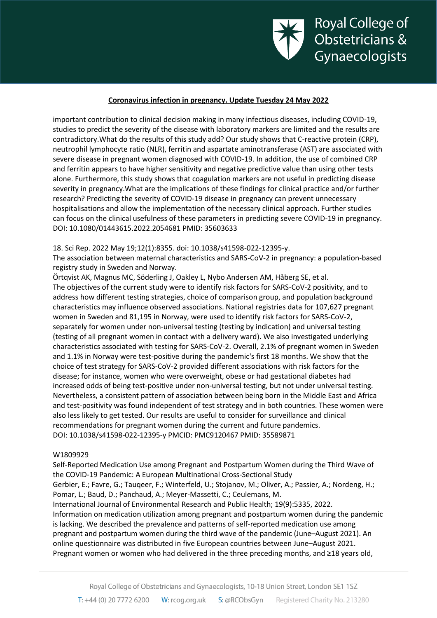

important contribution to clinical decision making in many infectious diseases, including COVID-19, studies to predict the severity of the disease with laboratory markers are limited and the results are contradictory.What do the results of this study add? Our study shows that C-reactive protein (CRP), neutrophil lymphocyte ratio (NLR), ferritin and aspartate aminotransferase (AST) are associated with severe disease in pregnant women diagnosed with COVID-19. In addition, the use of combined CRP and ferritin appears to have higher sensitivity and negative predictive value than using other tests alone. Furthermore, this study shows that coagulation markers are not useful in predicting disease severity in pregnancy.What are the implications of these findings for clinical practice and/or further research? Predicting the severity of COVID-19 disease in pregnancy can prevent unnecessary hospitalisations and allow the implementation of the necessary clinical approach. Further studies can focus on the clinical usefulness of these parameters in predicting severe COVID-19 in pregnancy. DOI: 10.1080/01443615.2022.2054681 PMID: 35603633

#### 18. Sci Rep. 2022 May 19;12(1):8355. doi: 10.1038/s41598-022-12395-y.

The association between maternal characteristics and SARS-CoV-2 in pregnancy: a population-based registry study in Sweden and Norway.

Örtqvist AK, Magnus MC, Söderling J, Oakley L, Nybo Andersen AM, Håberg SE, et al. The objectives of the current study were to identify risk factors for SARS-CoV-2 positivity, and to address how different testing strategies, choice of comparison group, and population background characteristics may influence observed associations. National registries data for 107,627 pregnant women in Sweden and 81,195 in Norway, were used to identify risk factors for SARS-CoV-2, separately for women under non-universal testing (testing by indication) and universal testing (testing of all pregnant women in contact with a delivery ward). We also investigated underlying characteristics associated with testing for SARS-CoV-2. Overall, 2.1% of pregnant women in Sweden and 1.1% in Norway were test-positive during the pandemic's first 18 months. We show that the choice of test strategy for SARS-CoV-2 provided different associations with risk factors for the disease; for instance, women who were overweight, obese or had gestational diabetes had increased odds of being test-positive under non-universal testing, but not under universal testing. Nevertheless, a consistent pattern of association between being born in the Middle East and Africa and test-positivity was found independent of test strategy and in both countries. These women were also less likely to get tested. Our results are useful to consider for surveillance and clinical recommendations for pregnant women during the current and future pandemics. DOI: 10.1038/s41598-022-12395-y PMCID: PMC9120467 PMID: 35589871

#### W1809929

Self-Reported Medication Use among Pregnant and Postpartum Women during the Third Wave of the COVID-19 Pandemic: A European Multinational Cross-Sectional Study Gerbier, E.; Favre, G.; Tauqeer, F.; Winterfeld, U.; Stojanov, M.; Oliver, A.; Passier, A.; Nordeng, H.; Pomar, L.; Baud, D.; Panchaud, A.; Meyer-Massetti, C.; Ceulemans, M. International Journal of Environmental Research and Public Health; 19(9):5335, 2022. Information on medication utilization among pregnant and postpartum women during the pandemic is lacking. We described the prevalence and patterns of self-reported medication use among pregnant and postpartum women during the third wave of the pandemic (June–August 2021). An online questionnaire was distributed in five European countries between June–August 2021. Pregnant women or women who had delivered in the three preceding months, and ≥18 years old,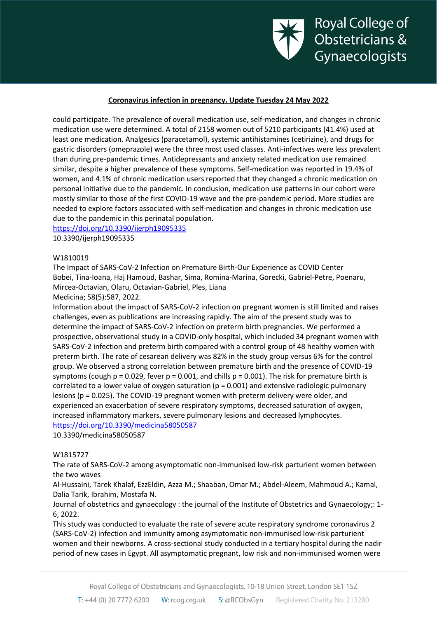

could participate. The prevalence of overall medication use, self-medication, and changes in chronic medication use were determined. A total of 2158 women out of 5210 participants (41.4%) used at least one medication. Analgesics (paracetamol), systemic antihistamines (cetirizine), and drugs for gastric disorders (omeprazole) were the three most used classes. Anti-infectives were less prevalent than during pre-pandemic times. Antidepressants and anxiety related medication use remained similar, despite a higher prevalence of these symptoms. Self-medication was reported in 19.4% of women, and 4.1% of chronic medication users reported that they changed a chronic medication on personal initiative due to the pandemic. In conclusion, medication use patterns in our cohort were mostly similar to those of the first COVID-19 wave and the pre-pandemic period. More studies are needed to explore factors associated with self-medication and changes in chronic medication use due to the pandemic in this perinatal population.

# <https://doi.org/10.3390/ijerph19095335>

10.3390/ijerph19095335

#### W1810019

The Impact of SARS-CoV-2 Infection on Premature Birth-Our Experience as COVID Center Bobei, Tina-Ioana, Haj Hamoud, Bashar, Sima, Romina-Marina, Gorecki, Gabriel-Petre, Poenaru, Mircea-Octavian, Olaru, Octavian-Gabriel, Ples, Liana

Medicina; 58(5):587, 2022.

Information about the impact of SARS-CoV-2 infection on pregnant women is still limited and raises challenges, even as publications are increasing rapidly. The aim of the present study was to determine the impact of SARS-CoV-2 infection on preterm birth pregnancies. We performed a prospective, observational study in a COVID-only hospital, which included 34 pregnant women with SARS-CoV-2 infection and preterm birth compared with a control group of 48 healthy women with preterm birth. The rate of cesarean delivery was 82% in the study group versus 6% for the control group. We observed a strong correlation between premature birth and the presence of COVID-19 symptoms (cough  $p = 0.029$ , fever  $p = 0.001$ , and chills  $p = 0.001$ ). The risk for premature birth is correlated to a lower value of oxygen saturation (p = 0.001) and extensive radiologic pulmonary lesions (p = 0.025). The COVID-19 pregnant women with preterm delivery were older, and experienced an exacerbation of severe respiratory symptoms, decreased saturation of oxygen, increased inflammatory markers, severe pulmonary lesions and decreased lymphocytes. <https://doi.org/10.3390/medicina58050587>

10.3390/medicina58050587

#### W1815727

The rate of SARS-CoV-2 among asymptomatic non-immunised low-risk parturient women between the two waves

Al-Hussaini, Tarek Khalaf, EzzEldin, Azza M.; Shaaban, Omar M.; Abdel-Aleem, Mahmoud A.; Kamal, Dalia Tarik, Ibrahim, Mostafa N.

Journal of obstetrics and gynaecology : the journal of the Institute of Obstetrics and Gynaecology;: 1- 6, 2022.

This study was conducted to evaluate the rate of severe acute respiratory syndrome coronavirus 2 (SARS-CoV-2) infection and immunity among asymptomatic non-immunised low-risk parturient women and their newborns. A cross-sectional study conducted in a tertiary hospital during the nadir period of new cases in Egypt. All asymptomatic pregnant, low risk and non-immunised women were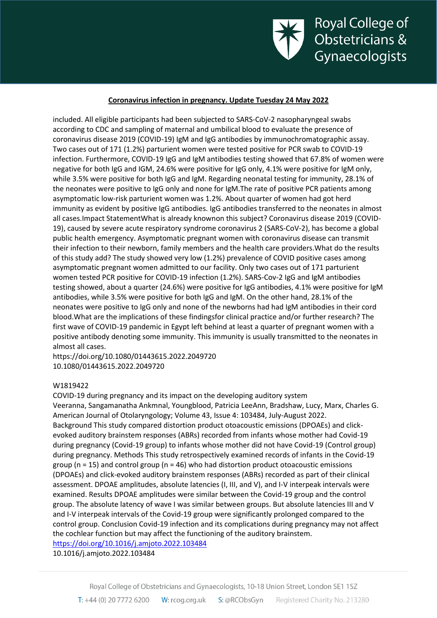

included. All eligible participants had been subjected to SARS-CoV-2 nasopharyngeal swabs according to CDC and sampling of maternal and umbilical blood to evaluate the presence of coronavirus disease 2019 (COVID-19) IgM and IgG antibodies by immunochromatographic assay. Two cases out of 171 (1.2%) parturient women were tested positive for PCR swab to COVID-19 infection. Furthermore, COVID-19 IgG and IgM antibodies testing showed that 67.8% of women were negative for both IgG and IGM, 24.6% were positive for IgG only, 4.1% were positive for IgM only, while 3.5% were positive for both IgG and IgM. Regarding neonatal testing for immunity, 28.1% of the neonates were positive to IgG only and none for IgM.The rate of positive PCR patients among asymptomatic low-risk parturient women was 1.2%. About quarter of women had got herd immunity as evident by positive IgG antibodies. IgG antibodies transferred to the neonates in almost all cases.Impact StatementWhat is already knownon this subject? Coronavirus disease 2019 (COVID-19), caused by severe acute respiratory syndrome coronavirus 2 (SARS-CoV-2), has become a global public health emergency. Asymptomatic pregnant women with coronavirus disease can transmit their infection to their newborn, family members and the health care providers.What do the results of this study add? The study showed very low (1.2%) prevalence of COVID positive cases among asymptomatic pregnant women admitted to our facility. Only two cases out of 171 parturient women tested PCR positive for COVID-19 infection (1.2%). SARS-Cov-2 IgG and IgM antibodies testing showed, about a quarter (24.6%) were positive for IgG antibodies, 4.1% were positive for IgM antibodies, while 3.5% were positive for both IgG and IgM. On the other hand, 28.1% of the neonates were positive to IgG only and none of the newborns had had IgM antibodies in their cord blood.What are the implications of these findingsfor clinical practice and/or further research? The first wave of COVID-19 pandemic in Egypt left behind at least a quarter of pregnant women with a positive antibody denoting some immunity. This immunity is usually transmitted to the neonates in almost all cases.

https://doi.org/10.1080/01443615.2022.2049720 10.1080/01443615.2022.2049720

#### W1819422

COVID-19 during pregnancy and its impact on the developing auditory system Veeranna, Sangamanatha Ankmnal, Youngblood, Patricia LeeAnn, Bradshaw, Lucy, Marx, Charles G. American Journal of Otolaryngology; Volume 43, Issue 4: 103484, July-August 2022. Background This study compared distortion product otoacoustic emissions (DPOAEs) and clickevoked auditory brainstem responses (ABRs) recorded from infants whose mother had Covid-19 during pregnancy (Covid-19 group) to infants whose mother did not have Covid-19 (Control group) during pregnancy. Methods This study retrospectively examined records of infants in the Covid-19 group ( $n = 15$ ) and control group ( $n = 46$ ) who had distortion product otoacoustic emissions (DPOAEs) and click-evoked auditory brainstem responses (ABRs) recorded as part of their clinical assessment. DPOAE amplitudes, absolute latencies (I, III, and V), and I-V interpeak intervals were examined. Results DPOAE amplitudes were similar between the Covid-19 group and the control group. The absolute latency of wave I was similar between groups. But absolute latencies III and V and I-V interpeak intervals of the Covid-19 group were significantly prolonged compared to the control group. Conclusion Covid-19 infection and its complications during pregnancy may not affect the cochlear function but may affect the functioning of the auditory brainstem.

<https://doi.org/10.1016/j.amjoto.2022.103484>

10.1016/j.amjoto.2022.103484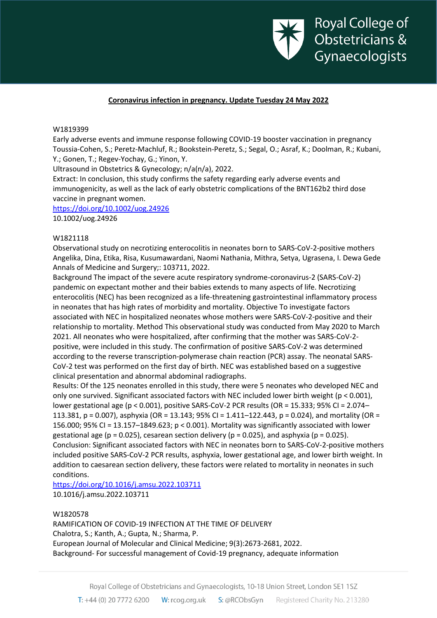

#### W1819399

Early adverse events and immune response following COVID-19 booster vaccination in pregnancy Toussia-Cohen, S.; Peretz-Machluf, R.; Bookstein-Peretz, S.; Segal, O.; Asraf, K.; Doolman, R.; Kubani, Y.; Gonen, T.; Regev-Yochay, G.; Yinon, Y.

Ultrasound in Obstetrics & Gynecology; n/a(n/a), 2022.

Extract: In conclusion, this study confirms the safety regarding early adverse events and immunogenicity, as well as the lack of early obstetric complications of the BNT162b2 third dose vaccine in pregnant women.

<https://doi.org/10.1002/uog.24926>

10.1002/uog.24926

#### W1821118

Observational study on necrotizing enterocolitis in neonates born to SARS-CoV-2-positive mothers Angelika, Dina, Etika, Risa, Kusumawardani, Naomi Nathania, Mithra, Setya, Ugrasena, I. Dewa Gede Annals of Medicine and Surgery;: 103711, 2022.

Background The impact of the severe acute respiratory syndrome-coronavirus-2 (SARS-CoV-2) pandemic on expectant mother and their babies extends to many aspects of life. Necrotizing enterocolitis (NEC) has been recognized as a life-threatening gastrointestinal inflammatory process in neonates that has high rates of morbidity and mortality. Objective To investigate factors associated with NEC in hospitalized neonates whose mothers were SARS-CoV-2-positive and their relationship to mortality. Method This observational study was conducted from May 2020 to March 2021. All neonates who were hospitalized, after confirming that the mother was SARS-CoV-2 positive, were included in this study. The confirmation of positive SARS-CoV-2 was determined according to the reverse transcription-polymerase chain reaction (PCR) assay. The neonatal SARS-CoV-2 test was performed on the first day of birth. NEC was established based on a suggestive clinical presentation and abnormal abdominal radiographs.

Results: Of the 125 neonates enrolled in this study, there were 5 neonates who developed NEC and only one survived. Significant associated factors with NEC included lower birth weight ( $p < 0.001$ ), lower gestational age (p < 0.001), positive SARS-CoV-2 PCR results (OR = 15.333; 95% CI = 2.074– 113.381, p = 0.007), asphyxia (OR = 13.143; 95% CI = 1.411–122.443, p = 0.024), and mortality (OR = 156.000; 95% CI = 13.157–1849.623; p < 0.001). Mortality was significantly associated with lower gestational age ( $p = 0.025$ ), cesarean section delivery ( $p = 0.025$ ), and asphyxia ( $p = 0.025$ ). Conclusion: Significant associated factors with NEC in neonates born to SARS-CoV-2-positive mothers included positive SARS-CoV-2 PCR results, asphyxia, lower gestational age, and lower birth weight. In addition to caesarean section delivery, these factors were related to mortality in neonates in such conditions.

<https://doi.org/10.1016/j.amsu.2022.103711> 10.1016/j.amsu.2022.103711

#### W1820578

RAMIFICATION OF COVID-19 INFECTION AT THE TIME OF DELIVERY Chalotra, S.; Kanth, A.; Gupta, N.; Sharma, P. European Journal of Molecular and Clinical Medicine; 9(3):2673-2681, 2022. Background- For successful management of Covid-19 pregnancy, adequate information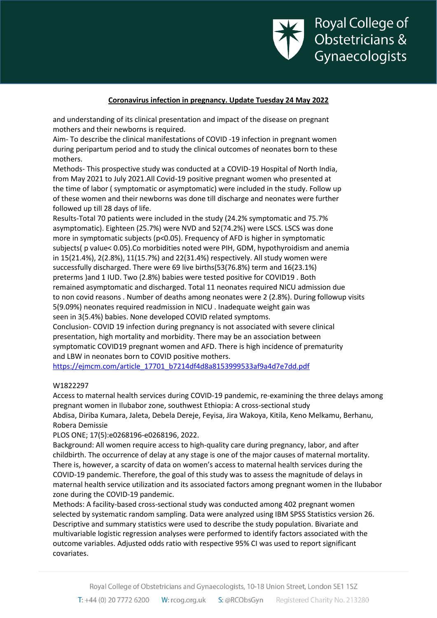

and understanding of its clinical presentation and impact of the disease on pregnant mothers and their newborns is required.

Aim- To describe the clinical manifestations of COVID -19 infection in pregnant women during peripartum period and to study the clinical outcomes of neonates born to these mothers.

Methods- This prospective study was conducted at a COVID-19 Hospital of North India, from May 2021 to July 2021.All Covid-19 positive pregnant women who presented at the time of labor ( symptomatic or asymptomatic) were included in the study. Follow up of these women and their newborns was done till discharge and neonates were further followed up till 28 days of life.

Results-Total 70 patients were included in the study (24.2% symptomatic and 75.7% asymptomatic). Eighteen (25.7%) were NVD and 52(74.2%) were LSCS. LSCS was done more in symptomatic subjects (p<0.05). Frequency of AFD is higher in symptomatic subjects( p value< 0.05).Co morbidities noted were PIH, GDM, hypothyroidism and anemia in 15(21.4%), 2(2.8%), 11(15.7%) and 22(31.4%) respectively. All study women were successfully discharged. There were 69 live births(53(76.8%) term and 16(23.1%) preterms )and 1 IUD. Two (2.8%) babies were tested positive for COVID19 . Both remained asymptomatic and discharged. Total 11 neonates required NICU admission due to non covid reasons . Number of deaths among neonates were 2 (2.8%). During followup visits 5(9.09%) neonates required readmission in NICU . Inadequate weight gain was seen in 3(5.4%) babies. None developed COVID related symptoms.

Conclusion- COVID 19 infection during pregnancy is not associated with severe clinical presentation, high mortality and morbidity. There may be an association between symptomatic COVID19 pregnant women and AFD. There is high incidence of prematurity and LBW in neonates born to COVID positive mothers.

[https://ejmcm.com/article\\_17701\\_b7214df4d8a8153999533af9a4d7e7dd.pdf](https://ejmcm.com/article_17701_b7214df4d8a8153999533af9a4d7e7dd.pdf)

#### W1822297

Access to maternal health services during COVID-19 pandemic, re-examining the three delays among pregnant women in Ilubabor zone, southwest Ethiopia: A cross-sectional study Abdisa, Diriba Kumara, Jaleta, Debela Dereje, Feyisa, Jira Wakoya, Kitila, Keno Melkamu, Berhanu, Robera Demissie

PLOS ONE; 17(5):e0268196-e0268196, 2022.

Background: All women require access to high-quality care during pregnancy, labor, and after childbirth. The occurrence of delay at any stage is one of the major causes of maternal mortality. There is, however, a scarcity of data on women's access to maternal health services during the COVID-19 pandemic. Therefore, the goal of this study was to assess the magnitude of delays in maternal health service utilization and its associated factors among pregnant women in the Ilubabor zone during the COVID-19 pandemic.

Methods: A facility-based cross-sectional study was conducted among 402 pregnant women selected by systematic random sampling. Data were analyzed using IBM SPSS Statistics version 26. Descriptive and summary statistics were used to describe the study population. Bivariate and multivariable logistic regression analyses were performed to identify factors associated with the outcome variables. Adjusted odds ratio with respective 95% CI was used to report significant covariates.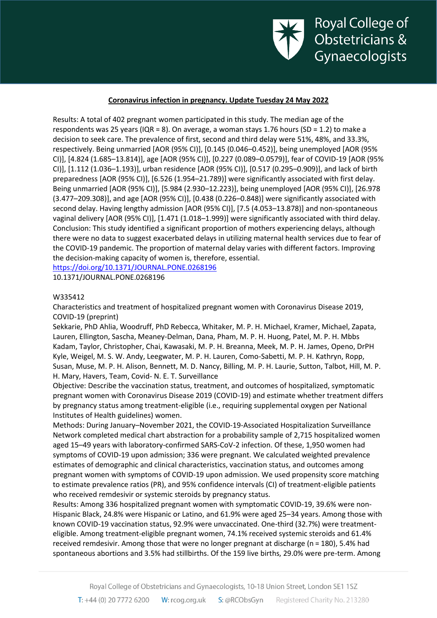

Results: A total of 402 pregnant women participated in this study. The median age of the respondents was 25 years (IQR = 8). On average, a woman stays 1.76 hours (SD = 1.2) to make a decision to seek care. The prevalence of first, second and third delay were 51%, 48%, and 33.3%, respectively. Being unmarried [AOR (95% CI)], [0.145 (0.046–0.452)], being unemployed [AOR (95% CI)], [4.824 (1.685–13.814)], age [AOR (95% CI)], [0.227 (0.089–0.0579)], fear of COVID-19 [AOR (95% CI)], [1.112 (1.036–1.193)], urban residence [AOR (95% CI)], [0.517 (0.295–0.909)], and lack of birth preparedness [AOR (95% CI)], [6.526 (1.954–21.789)] were significantly associated with first delay. Being unmarried [AOR (95% CI)], [5.984 (2.930–12.223)], being unemployed [AOR (95% CI)], [26.978 (3.477–209.308)], and age [AOR (95% CI)], [0.438 (0.226–0.848)] were significantly associated with second delay. Having lengthy admission [AOR (95% CI)], [7.5 (4.053–13.878)] and non-spontaneous vaginal delivery [AOR (95% CI)], [1.471 (1.018–1.999)] were significantly associated with third delay. Conclusion: This study identified a significant proportion of mothers experiencing delays, although there were no data to suggest exacerbated delays in utilizing maternal health services due to fear of the COVID-19 pandemic. The proportion of maternal delay varies with different factors. Improving the decision-making capacity of women is, therefore, essential. <https://doi.org/10.1371/JOURNAL.PONE.0268196>

10.1371/JOURNAL.PONE.0268196

# W335412

Characteristics and treatment of hospitalized pregnant women with Coronavirus Disease 2019, COVID-19 (preprint)

Sekkarie, PhD Ahlia, Woodruff, PhD Rebecca, Whitaker, M. P. H. Michael, Kramer, Michael, Zapata, Lauren, Ellington, Sascha, Meaney-Delman, Dana, Pham, M. P. H. Huong, Patel, M. P. H. Mbbs Kadam, Taylor, Christopher, Chai, Kawasaki, M. P. H. Breanna, Meek, M. P. H. James, Openo, DrPH Kyle, Weigel, M. S. W. Andy, Leegwater, M. P. H. Lauren, Como-Sabetti, M. P. H. Kathryn, Ropp, Susan, Muse, M. P. H. Alison, Bennett, M. D. Nancy, Billing, M. P. H. Laurie, Sutton, Talbot, Hill, M. P. H. Mary, Havers, Team, Covid- N. E. T. Surveillance

Objective: Describe the vaccination status, treatment, and outcomes of hospitalized, symptomatic pregnant women with Coronavirus Disease 2019 (COVID-19) and estimate whether treatment differs by pregnancy status among treatment-eligible (i.e., requiring supplemental oxygen per National Institutes of Health guidelines) women.

Methods: During January–November 2021, the COVID-19-Associated Hospitalization Surveillance Network completed medical chart abstraction for a probability sample of 2,715 hospitalized women aged 15–49 years with laboratory-confirmed SARS-CoV-2 infection. Of these, 1,950 women had symptoms of COVID-19 upon admission; 336 were pregnant. We calculated weighted prevalence estimates of demographic and clinical characteristics, vaccination status, and outcomes among pregnant women with symptoms of COVID-19 upon admission. We used propensity score matching to estimate prevalence ratios (PR), and 95% confidence intervals (CI) of treatment-eligible patients who received remdesivir or systemic steroids by pregnancy status.

Results: Among 336 hospitalized pregnant women with symptomatic COVID-19, 39.6% were non-Hispanic Black, 24.8% were Hispanic or Latino, and 61.9% were aged 25–34 years. Among those with known COVID-19 vaccination status, 92.9% were unvaccinated. One-third (32.7%) were treatmenteligible. Among treatment-eligible pregnant women, 74.1% received systemic steroids and 61.4% received remdesivir. Among those that were no longer pregnant at discharge (n = 180), 5.4% had spontaneous abortions and 3.5% had stillbirths. Of the 159 live births, 29.0% were pre-term. Among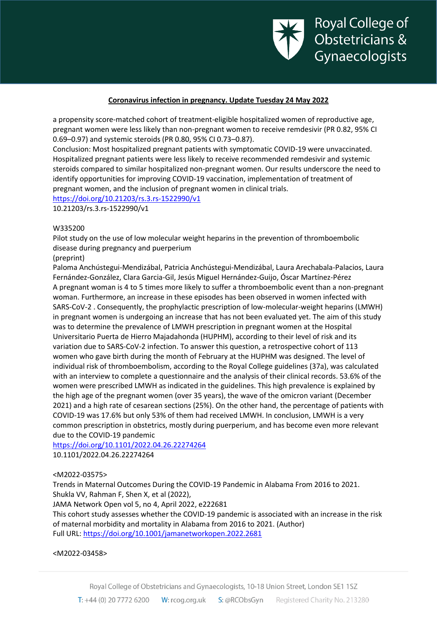

a propensity score-matched cohort of treatment-eligible hospitalized women of reproductive age, pregnant women were less likely than non-pregnant women to receive remdesivir (PR 0.82, 95% CI 0.69–0.97) and systemic steroids (PR 0.80, 95% CI 0.73–0.87).

Conclusion: Most hospitalized pregnant patients with symptomatic COVID-19 were unvaccinated. Hospitalized pregnant patients were less likely to receive recommended remdesivir and systemic steroids compared to similar hospitalized non-pregnant women. Our results underscore the need to identify opportunities for improving COVID-19 vaccination, implementation of treatment of pregnant women, and the inclusion of pregnant women in clinical trials.

<https://doi.org/10.21203/rs.3.rs-1522990/v1>

10.21203/rs.3.rs-1522990/v1

#### W335200

Pilot study on the use of low molecular weight heparins in the prevention of thromboembolic disease during pregnancy and puerperium

# (preprint)

Paloma Anchústegui-Mendizábal, Patricia Anchústegui-Mendizábal, Laura Arechabala-Palacios, Laura Fernández-González, Clara Garcia-Gil, Jesús Miguel Hernández-Guijo, Óscar Martínez-Pérez A pregnant woman is 4 to 5 times more likely to suffer a thromboembolic event than a non-pregnant woman. Furthermore, an increase in these episodes has been observed in women infected with SARS-CoV-2 . Consequently, the prophylactic prescription of low-molecular-weight heparins (LMWH) in pregnant women is undergoing an increase that has not been evaluated yet. The aim of this study was to determine the prevalence of LMWH prescription in pregnant women at the Hospital Universitario Puerta de Hierro Majadahonda (HUPHM), according to their level of risk and its variation due to SARS-CoV-2 infection. To answer this question, a retrospective cohort of 113 women who gave birth during the month of February at the HUPHM was designed. The level of individual risk of thromboembolism, according to the Royal College guidelines (37a), was calculated with an interview to complete a questionnaire and the analysis of their clinical records. 53.6% of the women were prescribed LMWH as indicated in the guidelines. This high prevalence is explained by the high age of the pregnant women (over 35 years), the wave of the omicron variant (December 2021) and a high rate of cesarean sections (25%). On the other hand, the percentage of patients with COVID-19 was 17.6% but only 53% of them had received LMWH. In conclusion, LMWH is a very common prescription in obstetrics, mostly during puerperium, and has become even more relevant due to the COVID-19 pandemic

<https://doi.org/10.1101/2022.04.26.22274264> 10.1101/2022.04.26.22274264

# <M2022-03575>

Trends in Maternal Outcomes During the COVID-19 Pandemic in Alabama From 2016 to 2021. Shukla VV, Rahman F, Shen X, et al (2022),

JAMA Network Open vol 5, no 4, April 2022, e222681

This cohort study assesses whether the COVID-19 pandemic is associated with an increase in the risk of maternal morbidity and mortality in Alabama from 2016 to 2021. (Author) Full URL[: https://doi.org/10.1001/jamanetworkopen.2022.2681](https://doi.org/10.1001/jamanetworkopen.2022.2681)

<M2022-03458>